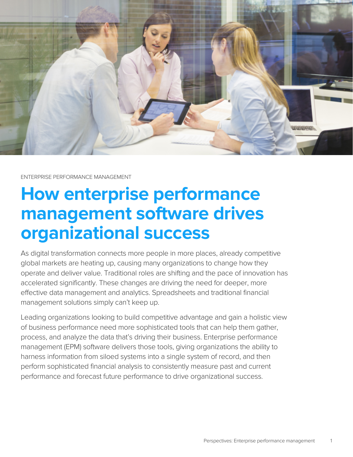

ENTERPRISE PERFORMANCE MANAGEMENT

# **How enterprise performance management software drives organizational success**

As digital transformation connects more people in more places, already competitive global markets are heating up, causing many organizations to change how they operate and deliver value. Traditional roles are shifting and the pace of innovation has accelerated significantly. These changes are driving the need for deeper, more effective data management and analytics. Spreadsheets and traditional financial management solutions simply can't keep up.

Leading organizations looking to build competitive advantage and gain a holistic view of business performance need more sophisticated tools that can help them gather, process, and analyze the data that's driving their business. Enterprise performance management (EPM) software delivers those tools, giving organizations the ability to harness information from siloed systems into a single system of record, and then perform sophisticated financial analysis to consistently measure past and current performance and forecast future performance to drive organizational success.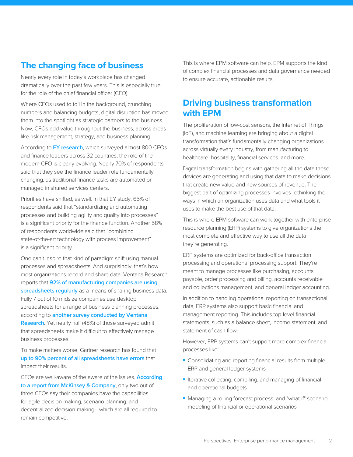# **The changing face of business**

Nearly every role in today's workplace has changed dramatically over the past few years. This is especially true for the role of the chief financial officer (CFO).

Where CFOs used to toil in the background, crunching numbers and balancing budgets, digital disruption has moved them into the spotlight as strategic partners to the business. Now, CFOs add value throughout the business, across areas like risk management, strategy, and business planning.

According to **[EY research](http://www.ey.com/gl/en/issues/managing-finance/ey-cfo-program-dna-of-the-cfo-part-2)**, which surveyed almost 800 CFOs and finance leaders across 32 countries, the role of the modern CFO is clearly evolving. Nearly 70% of respondents said that they see the finance leader role fundamentally changing, as traditional finance tasks are automated or managed in shared services centers.

Priorities have shifted, as well. In that EY study, 65% of respondents said that "standardizing and automating processes and building agility and quality into processes" is a significant priority for the finance function. Another 58% of respondents worldwide said that "combining state-of-the-art technology with process improvement" is a significant priority.

One can't inspire that kind of paradigm shift using manual processes and spreadsheets. And surprisingly, that's how most organizations record and share data. Ventana Research reports that **[92% of manufacturing companies are using](https://www.ventanaresearch.com/research_perspective/analytics/gaining_an_edge_in_manufacturing_with_business_analytics) [spreadsheets regularly](https://www.ventanaresearch.com/research_perspective/analytics/gaining_an_edge_in_manufacturing_with_business_analytics)** as a means of sharing business data. Fully 7 out of 10 midsize companies use desktop spreadsheets for a range of business planning processes, according to **[another survey conducted by Ventana](https://www.ventanaresearch.com/executive_summary/analytics/next_-_generation_business_planning/benchmark)  [Research](https://www.ventanaresearch.com/executive_summary/analytics/next_-_generation_business_planning/benchmark)**. Yet nearly half (48%) of those surveyed admit that spreadsheets make it difficult to effectively manage business processes.

To make matters worse, Gartner research has found that **[up to 90% percent of all spreadsheets have errors](http://www.zdnet.com/article/excel-errors-microsofts-spreadsheet-may-be-hazardous-to-your-health/)** that impact their results.

CFOs are well-aware of the aware of the issues. **[According](https://www.mckinsey.com/business-functions/strategy-and-corporate-finance/our-insights/are-todays-cfos-ready-for-tomorrows-demands-on-finance)  [to a report from McKinsey & Company](https://www.mckinsey.com/business-functions/strategy-and-corporate-finance/our-insights/are-todays-cfos-ready-for-tomorrows-demands-on-finance)**, only two out of three CFOs say their companies have the capabilities for agile decision-making, scenario planning, and decentralized decision-making—which are all required to remain competitive.

This is where EPM software can help. EPM supports the kind of complex financial processes and data governance needed to ensure accurate, actionable results.

# **Driving business transformation with EPM**

The proliferation of low-cost sensors, the Internet of Things (IoT), and machine learning are bringing about a digital transformation that's fundamentally changing organizations across virtually every industry, from manufacturing to healthcare, hospitality, financial services, and more.

Digital transformation begins with gathering all the data these devices are generating and using that data to make decisions that create new value and new sources of revenue. The biggest part of optimizing processes involves rethinking the ways in which an organization uses data and what tools it uses to make the best use of that data.

This is where EPM software can work together with enterprise resource planning (ERP) systems to give organizations the most complete and effective way to use all the data they're generating.

ERP systems are optimized for back-office transaction processing and operational processing support. They're meant to manage processes like purchasing, accounts payable, order processing and billing, accounts receivable and collections management, and general ledger accounting.

In addition to handling operational reporting on transactional data, ERP systems also support basic financial and management reporting. This includes top-level financial statements, such as a balance sheet, income statement, and statement of cash flow.

However, ERP systems can't support more complex financial processes like:

- Consolidating and reporting financial results from multiple ERP and general ledger systems
- Iterative collecting, compiling, and managing of financial and operational budgets
- Managing a rolling forecast process; and "what-if" scenario modeling of financial or operational scenarios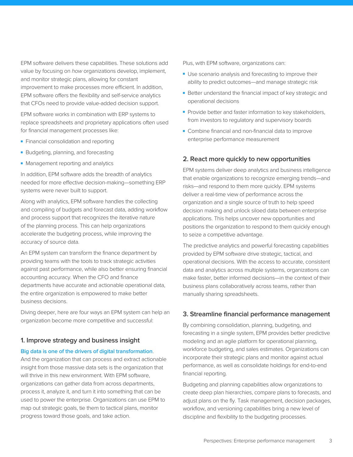EPM software delivers these capabilities. These solutions add value by focusing on *how* organizations develop, implement, and monitor strategic plans, allowing for constant improvement to make processes more efficient. In addition, EPM software offers the flexibility and self-service analytics that CFOs need to provide value-added decision support.

EPM software works in combination with ERP systems to replace spreadsheets and proprietary applications often used for financial management processes like:

- Financial consolidation and reporting
- Budgeting, planning, and forecasting
- Management reporting and analytics

In addition, EPM software adds the breadth of analytics needed for more effective decision-making—something ERP systems were never built to support.

Along with analytics, EPM software handles the collecting and compiling of budgets and forecast data, adding workflow and process support that recognizes the iterative nature of the planning process. This can help organizations accelerate the budgeting process, while improving the accuracy of source data.

An EPM system can transform the finance department by providing teams with the tools to track strategic activities against past performance, while also better ensuring financial accounting accuracy. When the CFO and finance departments have accurate and actionable operational data, the entire organization is empowered to make better business decisions.

Diving deeper, here are four ways an EPM system can help an organization become more competitive and successful:

## **1. Improve strategy and business insight**

#### **[Big data is one of the drivers of digital transformation](http://www.information-age.com/big-data-helping-reinvent-companies-through-digital-transformation-123467133/)**.

And the organization that can process and extract actionable insight from those massive data sets is the organization that will thrive in this new environment. With EPM software, organizations can gather data from across departments, process it, analyze it, and turn it into something that can be used to power the enterprise. Organizations can use EPM to map out strategic goals, tie them to tactical plans, monitor progress toward those goals, and take action.

Plus, with EPM software, organizations can:

- Use scenario analysis and forecasting to improve their ability to predict outcomes—and manage strategic risk
- Better understand the financial impact of key strategic and operational decisions
- Provide better and faster information to key stakeholders, from investors to regulatory and supervisory boards
- Combine financial and non-financial data to improve enterprise performance measurement

### **2. React more quickly to new opportunities**

EPM systems deliver deep analytics and business intelligence that enable organizations to recognize emerging trends—and risks—and respond to them more quickly. EPM systems deliver a real-time view of performance across the organization and a single source of truth to help speed decision making and unlock siloed data between enterprise applications. This helps uncover new opportunities and positions the organization to respond to them quickly enough to seize a competitive advantage.

The predictive analytics and powerful forecasting capabilities provided by EPM software drive strategic, tactical, and operational decisions. With the access to accurate, consistent data and analytics across multiple systems, organizations can make faster, better informed decisions—in the context of their business plans collaboratively across teams, rather than manually sharing spreadsheets.

## **3. Streamline financial performance management**

By combining consolidation, planning, budgeting, and forecasting in a single system, EPM provides better predictive modeling and an agile platform for operational planning, workforce budgeting, and sales estimates. Organizations can incorporate their strategic plans and monitor against actual performance, as well as consolidate holdings for end-to-end financial reporting.

Budgeting and planning capabilities allow organizations to create deep plan hierarchies, compare plans to forecasts, and adjust plans on the fly. Task management, decision packages, workflow, and versioning capabilities bring a new level of discipline and flexibility to the budgeting processes.